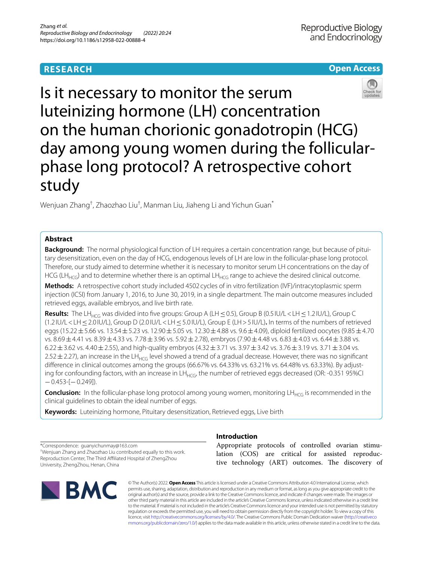# **RESEARCH**

# **Open Access**



Is it necessary to monitor the serum luteinizing hormone (LH) concentration on the human chorionic gonadotropin (HCG) day among young women during the follicularphase long protocol? A retrospective cohort study

Wenjuan Zhang<sup>†</sup>, Zhaozhao Liu<sup>†</sup>, Manman Liu, Jiaheng Li and Yichun Guan<sup>\*</sup>

# **Abstract**

**Background:** The normal physiological function of LH requires a certain concentration range, but because of pituitary desensitization, even on the day of HCG, endogenous levels of LH are low in the follicular-phase long protocol. Therefore, our study aimed to determine whether it is necessary to monitor serum LH concentrations on the day of HCG (LH<sub>HCG</sub>) and to determine whether there is an optimal LH<sub>HCG</sub> range to achieve the desired clinical outcome.

**Methods:** A retrospective cohort study included 4502 cycles of in vitro fertilization (IVF)/intracytoplasmic sperm injection (ICSI) from January 1, 2016, to June 30, 2019, in a single department. The main outcome measures included retrieved eggs, available embryos, and live birth rate.

**Results:** The LH<sub>HCG</sub> was divided into five groups: Group A (LH ≤0.5), Group B (0.5 IU/L < LH ≤ 1.2 IU/L), Group C (1.2 IU/L<LH≤2.0 IU/L), Group D (2.0 IU/L<LH≤5.0 IU/L), Group E (LH>5 IU/L)**.** In terms of the numbers of retrieved eggs (15.22  $\pm$  5.66 vs. 13.54  $\pm$  5.23 vs. 12.90  $\pm$  5.05 vs. 12.30  $\pm$  4.88 vs. 9.6  $\pm$  4.09), diploid fertilized oocytes (9.85  $\pm$  4.70 vs. 8.69 $\pm$ 4.41 vs. 8.39 $\pm$ 4.33 vs. 7.78 $\pm$ 3.96 vs. 5.92 $\pm$ 2.78), embryos (7.90 $\pm$ 4.48 vs. 6.83 $\pm$ 4.03 vs. 6.44 $\pm$ 3.88 vs. 6.22 $\pm$ 3.62 vs. 4.40 $\pm$ 2.55), and high-quality embryos (4.32 $\pm$ 3.71 vs. 3.97 $\pm$ 3.42 vs. 3.76 $\pm$ 3.19 vs. 3.71 $\pm$ 3.04 vs. 2.52  $\pm$  2.27), an increase in the LH<sub>HCG</sub> level showed a trend of a gradual decrease. However, there was no significant diference in clinical outcomes among the groups (66.67% vs. 64.33% vs. 63.21% vs. 64.48% vs. 63.33%). By adjusting for confounding factors, with an increase in  $LH_{HCG}$ , the number of retrieved eggs decreased (OR: -0.351 95%CI −0.453-[−0.249]).

**Conclusion:** In the follicular-phase long protocol among young women, monitoring LH<sub>HCG</sub> is recommended in the clinical guidelines to obtain the ideal number of eggs.

**Keywords:** Luteinizing hormone, Pituitary desensitization, Retrieved eggs, Live birth

\*Correspondence: guanyichunmay@163.com † Wenjuan Zhang and Zhaozhao Liu contributed equally to this work. Reproduction Center, The Third Afliated Hospital of ZhengZhou University, ZhengZhou, Henan, China



# **Introduction**

Appropriate protocols of controlled ovarian stimulation (COS) are critical for assisted reproductive technology (ART) outcomes. The discovery of

© The Author(s) 2022. **Open Access** This article is licensed under a Creative Commons Attribution 4.0 International License, which permits use, sharing, adaptation, distribution and reproduction in any medium or format, as long as you give appropriate credit to the original author(s) and the source, provide a link to the Creative Commons licence, and indicate if changes were made. The images or other third party material in this article are included in the article's Creative Commons licence, unless indicated otherwise in a credit line to the material. If material is not included in the article's Creative Commons licence and your intended use is not permitted by statutory regulation or exceeds the permitted use, you will need to obtain permission directly from the copyright holder. To view a copy of this licence, visit [http://creativecommons.org/licenses/by/4.0/.](http://creativecommons.org/licenses/by/4.0/) The Creative Commons Public Domain Dedication waiver ([http://creativeco](http://creativecommons.org/publicdomain/zero/1.0/) [mmons.org/publicdomain/zero/1.0/](http://creativecommons.org/publicdomain/zero/1.0/)) applies to the data made available in this article, unless otherwise stated in a credit line to the data.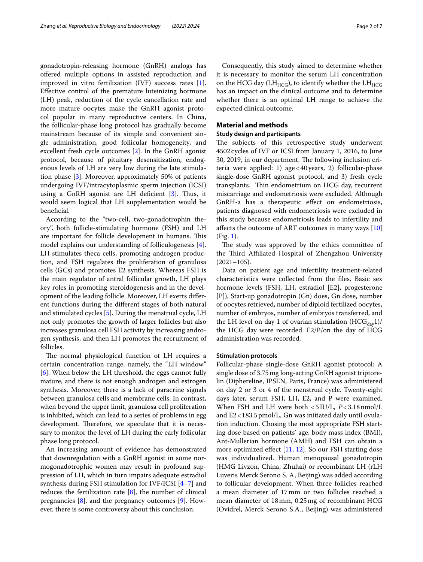gonadotropin-releasing hormone (GnRH) analogs has ofered multiple options in assisted reproduction and improved in vitro fertilization (IVF) success rates [\[1](#page-6-0)]. Efective control of the premature luteinizing hormone (LH) peak, reduction of the cycle cancellation rate and more mature oocytes make the GnRH agonist protocol popular in many reproductive centers. In China, the follicular-phase long protocol has gradually become mainstream because of its simple and convenient single administration, good follicular homogeneity, and excellent fresh cycle outcomes [\[2](#page-6-1)]. In the GnRH agonist protocol, because of pituitary desensitization, endogenous levels of LH are very low during the late stimulation phase [\[3](#page-6-2)]. Moreover, approximately 50% of patients undergoing IVF/intracytoplasmic sperm injection (ICSI) using a GnRH agonist are LH deficient  $[3]$ . Thus, it would seem logical that LH supplementation would be beneficial.

According to the "two-cell, two-gonadotrophin theory", both follicle-stimulating hormone (FSH) and LH are important for follicle development in humans. This model explains our understanding of folliculogenesis [\[4](#page-6-3)]. LH stimulates theca cells, promoting androgen production, and FSH regulates the proliferation of granulosa cells (GCs) and promotes E2 synthesis. Whereas FSH is the main regulator of antral follicular growth, LH plays key roles in promoting steroidogenesis and in the development of the leading follicle. Moreover, LH exerts diferent functions during the diferent stages of both natural and stimulated cycles [\[5](#page-6-4)]. During the menstrual cycle, LH not only promotes the growth of larger follicles but also increases granulosa cell FSH activity by increasing androgen synthesis, and then LH promotes the recruitment of follicles.

The normal physiological function of LH requires a certain concentration range, namely, the "LH window" [[6\]](#page-6-5). When below the LH threshold, the eggs cannot fully mature, and there is not enough androgen and estrogen synthesis. Moreover, there is a lack of paracrine signals between granulosa cells and membrane cells. In contrast, when beyond the upper limit, granulosa cell proliferation is inhibited, which can lead to a series of problems in egg development. Therefore, we speculate that it is necessary to monitor the level of LH during the early follicular phase long protocol.

An increasing amount of evidence has demonstrated that downregulation with a GnRH agonist in some normogonadotrophic women may result in profound suppression of LH, which in turn impairs adequate estradiol synthesis during FSH stimulation for IVF/ICSI [[4–](#page-6-3)[7\]](#page-6-6) and reduces the fertilization rate [[8\]](#page-6-7), the number of clinical pregnancies [\[8](#page-6-7)], and the pregnancy outcomes [[9](#page-6-8)]. However, there is some controversy about this conclusion.

Consequently, this study aimed to determine whether it is necessary to monitor the serum LH concentration on the HCG day (LH $_{HCG}$ ), to identify whether the LH $_{HCG}$ has an impact on the clinical outcome and to determine whether there is an optimal LH range to achieve the expected clinical outcome.

## **Material and methods**

#### **Study design and participants**

The subjects of this retrospective study underwent 4502cycles of IVF or ICSI from January 1, 2016, to June 30, 2019, in our department. The following inclusion criteria were applied: 1) age<40years, 2) follicular-phase single-dose GnRH agonist protocol, and 3) fresh cycle transplants. Thin endometrium on HCG day, recurrent miscarriage and endometriosis were excluded. Although GnRH-a has a therapeutic efect on endometriosis, patients diagnosed with endometriosis were excluded in this study because endometriosis leads to infertility and afects the outcome of ART outcomes in many ways [[10](#page-6-9)] (Fig. [1\)](#page-2-0).

The study was approved by the ethics committee of the Third Affiliated Hospital of Zhengzhou University  $(2021-105)$ .

Data on patient age and infertility treatment-related characteristics were collected from the fles. Basic sex hormone levels (FSH, LH, estradiol [E2], progesterone [P]), Start-up gonadotropin (Gn) does, Gn dose, number of oocytes retrieved, number of diploid fertilized oocytes, number of embryos, number of embryos transferred, and the LH level on day 1 of ovarian stimulation  $(HCG_{day}1)/$ the HCG day were recorded. E2/P/on the day of HCG administration was recorded.

## **Stimulation protocols**

Follicular-phase single-dose GnRH agonist protocol: A single dose of 3.75mg long-acting GnRH agonist triptorelin (Diphereline, IPSEN, Paris, France) was administered on day 2 or 3 or 4 of the menstrual cycle. Twenty-eight days later, serum FSH, LH, E2, and P were examined. When FSH and LH were both <5IU/L, *P*<3.18nmol/L and E2<183.5pmol/L, Gn was initiated daily until ovulation induction. Chosing the most appropriate FSH starting dose based on patients' age, body mass index (BMI), Ant-Mullerian hormone (AMH) and FSH can obtain a more optimized efect [[11,](#page-6-10) [12\]](#page-6-11). So our FSH starting dose was individualized. Human menopausal gonadotropin (HMG Livzon, China, Zhuhai) or recombinant LH (rLH Luveris Merck Serono S. A, Beijing) was added according to follicular development. When three follicles reached a mean diameter of 17mm or two follicles reached a mean diameter of 18mm, 0.25mg of recombinant HCG (Ovidrel, Merck Serono S.A., Beijing) was administered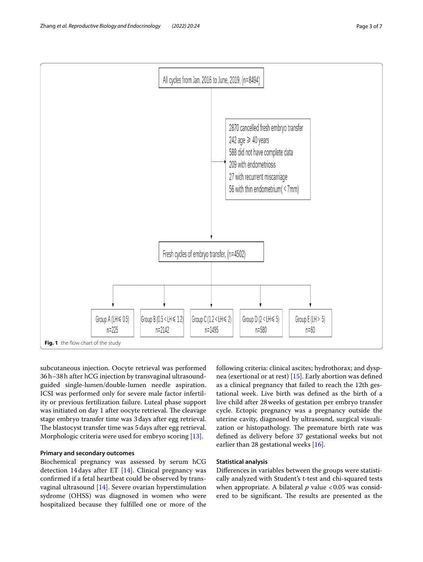

<span id="page-2-0"></span>subcutaneous injection. Oocyte retrieval was performed 36h–38h after hCG injection by transvaginal ultrasoundguided single-lumen/double-lumen needle aspiration. ICSI was performed only for severe male factor infertility or previous fertilization failure. Luteal phase support was initiated on day 1 after oocyte retrieval. The cleavage stage embryo transfer time was 3days after egg retrieval. The blastocyst transfer time was 5 days after egg retrieval. Morphologic criteria were used for embryo scoring [\[13\]](#page-6-12).

# **Primary and secondary outcomes**

Biochemical pregnancy was assessed by serum hCG detection 14days after ET [[14\]](#page-6-13). Clinical pregnancy was confrmed if a fetal heartbeat could be observed by transvaginal ultrasound [\[14\]](#page-6-13). Severe ovarian hyperstimulation sydrome (OHSS) was diagnosed in women who were hospitalized because they fulflled one or more of the following criteria: clinical ascites; hydrothorax; and dyspnea (exertional or at rest) [\[15](#page-6-14)]. Early abortion was defned as a clinical pregnancy that failed to reach the 12th gestational week. Live birth was defned as the birth of a live child after 28weeks of gestation per embryo transfer cycle. Ectopic pregnancy was a pregnancy outside the uterine cavity, diagnosed by ultrasound, surgical visualization or histopathology. The premature birth rate was defned as delivery before 37 gestational weeks but not earlier than 28 gestational weeks [[16\]](#page-6-15).

### **Statistical analysis**

Diferences in variables between the groups were statistically analyzed with Student's t-test and chi-squared tests when appropriate. A bilateral  $p$  value <0.05 was considered to be significant. The results are presented as the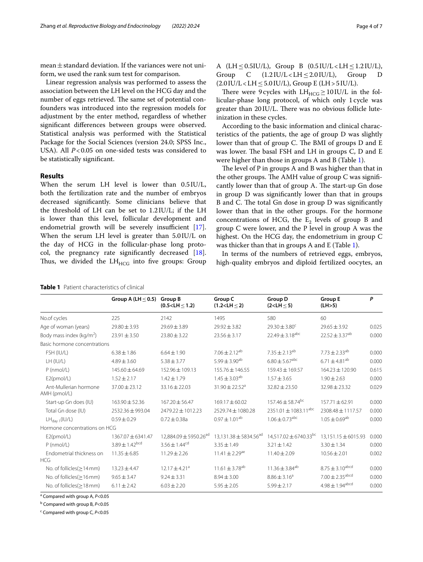mean $\pm$ standard deviation. If the variances were not uniform, we used the rank sum test for comparison.

Linear regression analysis was performed to assess the association between the LH level on the HCG day and the number of eggs retrieved. The same set of potential confounders was introduced into the regression models for adjustment by the enter method, regardless of whether signifcant diferences between groups were observed. Statistical analysis was performed with the Statistical Package for the Social Sciences (version 24.0; SPSS Inc., USA). All *P*<0.05 on one-sided tests was considered to be statistically signifcant.

## **Results**

When the serum LH level is lower than 0.5IU/L, both the fertilization rate and the number of embryos decreased signifcantly. Some clinicians believe that the threshold of LH can be set to 1.2IU/L; if the LH is lower than this level, follicular development and endometrial growth will be severely insufficient  $[17]$  $[17]$ . When the serum LH level is greater than 5.0IU/L on the day of HCG in the follicular-phase long protocol, the pregnancy rate signifcantly decreased [\[18](#page-6-17)]. Thus, we divided the  $LH<sub>HCG</sub>$  into five groups: Group

|  |  |  |                                                                                 | A (LH $\leq$ 0.5IU/L), Group B (0.5IU/L $\lt$ LH $\leq$ 1.2IU/L),      |  |
|--|--|--|---------------------------------------------------------------------------------|------------------------------------------------------------------------|--|
|  |  |  |                                                                                 | Group C $(1.2 \text{IU/L} < \text{LH} \leq 2.0 \text{IU/L})$ , Group D |  |
|  |  |  | $(2.0 \text{ IU/L} < \text{LH} \leq 5.0 \text{ IU/L})$ , Group E (LH > 5 IU/L). |                                                                        |  |

There were 9 cycles with  $LH_{HCG} \geq 10$ IU/L in the follicular-phase long protocol, of which only 1cycle was greater than 20IU/L. There was no obvious follicle luteinization in these cycles.

According to the basic information and clinical characteristics of the patients, the age of group D was slightly lower than that of group C. The BMI of groups D and E was lower. The basal FSH and  $LH$  in groups C, D and E were higher than those in groups A and B (Table [1](#page-3-0)).

The level of  $P$  in groups  $A$  and  $B$  was higher than that in the other groups. The AMH value of group  $C$  was significantly lower than that of group A. The start-up Gn dose in group D was signifcantly lower than that in groups B and C. The total Gn dose in group D was significantly lower than that in the other groups. For the hormone concentrations of HCG, the  $E<sub>2</sub>$  levels of group B and group C were lower, and the P level in group A was the highest. On the HCG day, the endometrium in group C was thicker than that in groups A and E (Table [1\)](#page-3-0).

In terms of the numbers of retrieved eggs, embryos, high-quality embryos and diploid fertilized oocytes, an

|                                       | Group A (LH $\leq$ 0.5) | <b>Group B</b><br>$(0.5 < LH \le 1.2)$ | Group C<br>$(1.2 < LH \le 2)$         | Group D<br>$(2<$ LH $\leq$ 5)         | <b>Group E</b><br>(LH>5)        | P     |
|---------------------------------------|-------------------------|----------------------------------------|---------------------------------------|---------------------------------------|---------------------------------|-------|
| No.of cycles                          | 225                     | 2142                                   | 1495                                  | 580                                   | 60                              |       |
| Age of woman (years)                  | $29.80 \pm 3.93$        | $29.69 \pm 3.89$                       | $29.92 \pm 3.82$                      | $29.30 \pm 3.80^c$                    | $29.65 \pm 3.92$                | 0.025 |
| Body mass index (kg/m <sup>2</sup> )  | $23.91 \pm 3.50$        | $23.80 \pm 3.22$                       | $23.56 \pm 3.17$                      | $22.49 \pm 3.18^{abc}$                | $22.52 \pm 3.37^{ab}$           | 0.00C |
| Basic hormone concentrations          |                         |                                        |                                       |                                       |                                 |       |
| FSH (IU/L)                            | $6.38 \pm 1.86$         | $6.64 \pm 1.90$                        | $7.06 \pm 2.12^{ab}$                  | $7.35 \pm 2.13^{ab}$                  | $7.73 \pm 2.33^{ab}$            | 0.00C |
| LH (IU/L)                             | $4.89 \pm 3.60$         | $5.38 \pm 3.77$                        | 5.99 $\pm$ 3.90 <sup>ab</sup>         | $6.80 \pm 5.67$ <sup>abc</sup>        | $6.71 \pm 4.81^{ab}$            | 0.00C |
| $P$ (nmol/L)                          | $145.60 \pm 64.69$      | 152.96 ± 109.13                        | 155.76 ± 146.55                       | $159.43 \pm 169.57$                   | $164.23 \pm 120.90$             | 0.615 |
| E2(pmol/L)                            | $1.52 \pm 2.17$         | $1.42 \pm 1.79$                        | $1.45 \pm 3.03^{ab}$                  | $1.57 \pm 3.65$                       | $1.90 \pm 2.63$                 | 0.00C |
| Ant-Mullerian hormone<br>AMH (pmol/L) | $37.00 \pm 23.12$       | $33.16 \pm 22.03$                      | 31.90 $\pm$ 22.52 <sup>a</sup>        | $32.82 \pm 23.50$                     | $32.98 \pm 23.32$               | 0.029 |
| Start-up Gn does (IU)                 | $163.90 \pm 52.36$      | $167.20 \pm 56.47$                     | $169.17 \pm 60.02$                    | 157.46 $\pm$ 58.74 <sup>bc</sup>      | $157.71 \pm 62.91$              | 0.00C |
| Total Gn dose (IU)                    | 2532.36 ± 993.04        | 2479.22 ± 1012.23                      | 2529.74 ± 1080.28                     | $2351.01 \pm 1083.11^{abc}$           | 2308.48±1117.57                 | 0.00C |
| $LH_{\text{day 1}}(IU/L)$             | $0.59 \pm 0.29$         | $0.72 \pm 0.38a$                       | $0.97 \pm 1.01^{ab}$                  | $1.06 \pm 0.73$ <sup>abc</sup>        | $1.05 \pm 0.69^{ab}$            | 0.00C |
| Hormone concentrations on HCG         |                         |                                        |                                       |                                       |                                 |       |
| E2(pmol/L)                            | 1367.07 ± 6341.47       | 12,884.09 ± 5950.26 <sup>ad</sup>      | 13,131.38 $\pm$ 5834.56 <sup>ad</sup> | $14,517.02 \pm 6740.33$ <sup>bc</sup> | 13,151.15 ± 6015.93             | 0.00C |
| $P$ (nmol/L)                          | $3.89 \pm 1.42^{bcd}$   | 3.56 $\pm$ 1.44 <sup>cd</sup>          | $3.35 \pm 1.49$                       | $3.21 \pm 1.42$                       | $3.30 \pm 1.34$                 | 0.00C |
| Endometrial thickness on<br>HCG       | $11.35 \pm 6.85$        | $11.29 \pm 2.26$                       | $11.41 \pm 2.29$ <sup>ae</sup>        | $11.40 \pm 2.09$                      | $10.56 \pm 2.01$                | 0.002 |
| No. of follicles $(\geq)14$ mm)       | $13.23 \pm 4.47$        | $12.17 \pm 4.21^a$                     | $11.61 \pm 3.78$ <sup>ab</sup>        | $11.36 \pm 3.84^{ab}$                 | $8.75 \pm 3.10^{abcd}$          | 0.00C |
| No. of follicles( $\geq$ 16 mm)       | $9.65 \pm 3.47$         | $9.24 \pm 3.31$                        | $8.94 \pm 3.00$                       | $8.86 \pm 3.16^a$                     | $7.00 \pm 2.35$ <sup>abcd</sup> | 0.00C |
| No. of follicles $(\geq 18$ mm)       | $6.11 \pm 2.42$         | $6.03 \pm 2.20$                        | $5.95 \pm 2.05$                       | $5.99 \pm 2.17$                       | $4.98 \pm 1.94^{\rm abcd}$      | 0.00C |
|                                       |                         |                                        |                                       |                                       |                                 |       |

a Compared with group A, *P*<0.05

b Compared with group B, *P*<0.05

c Compared with group C, *P*<0.05

<span id="page-3-0"></span>

| <b>Table 1</b> Patient characteristics of clinical |  |
|----------------------------------------------------|--|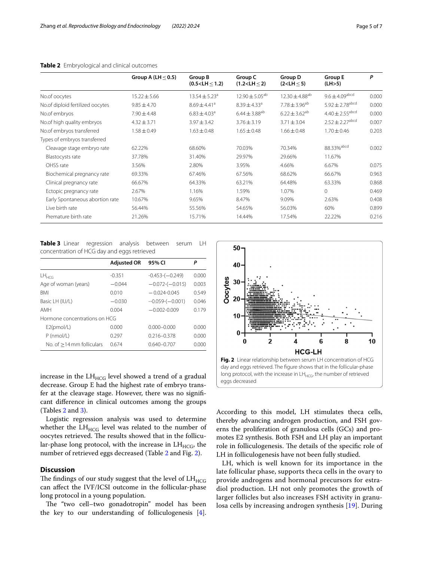|                                  | Group A (LH $\leq$ 0.5) | Group B<br>(0.5 < LH < 1.2)  | Group C<br>(1.2 < LH < 2)    | Group D<br>(2 < LH < 5)      | <b>Group E</b><br>(LH>5)        | P     |
|----------------------------------|-------------------------|------------------------------|------------------------------|------------------------------|---------------------------------|-------|
| No.of oocytes                    | $15.22 \pm 5.66$        | $13.54 \pm 5.23^a$           | $12.90 \pm 5.05^{ab}$        | $12.30 + 4.88$ <sup>ab</sup> | $9.6 \pm 4.09$ <sup>abcd</sup>  | 0.000 |
| No.of diploid fertilized oocytes | $9.85 \pm 4.70$         | $8.69 \pm 4.41$ <sup>a</sup> | $8.39 \pm 4.33$ <sup>a</sup> | $7.78 \pm 3.96^{ab}$         | $5.92 \pm 2.78$ <sup>abcd</sup> | 0.000 |
| No.of embryos                    | $7.90 \pm 4.48$         | $6.83 \pm 4.03^a$            | $6.44 \pm 3.88^{ab}$         | $6.22 \pm 3.62^{ab}$         | $4.40 \pm 2.55$ <sup>abcd</sup> | 0.000 |
| No.of high quality embryos       | $4.32 \pm 3.71$         | $3.97 \pm 3.42$              | $3.76 \pm 3.19$              | $3.71 + 3.04$                | $2.52 \pm 2.27$ <sup>abcd</sup> | 0.007 |
| No.of embryos transferred        | $1.58 \pm 0.49$         | $1.63 \pm 0.48$              | $1.65 \pm 0.48$              | $1.66 \pm 0.48$              | $1.70 \pm 0.46$                 | 0.203 |
| Types of embryos transferred     |                         |                              |                              |                              |                                 |       |
| Cleavage stage embryo rate       | 62.22%                  | 68.60%                       | 70.03%                       | 70.34%                       | 88.33% abcd                     | 0.002 |
| Blastocysts rate                 | 37.78%                  | 31.40%                       | 29.97%                       | 29.66%                       | 11.67%                          |       |
| OHSS rate                        | 3.56%                   | 2.80%                        | 3.95%                        | 4.66%                        | 6.67%                           | 0.075 |
| Biochemical pregnancy rate       | 69.33%                  | 67.46%                       | 67.56%                       | 68.62%                       | 66.67%                          | 0.963 |
| Clinical pregnancy rate          | 66.67%                  | 64.33%                       | 63.21%                       | 64.48%                       | 63.33%                          | 0.868 |
| Ectopic pregnancy rate           | 2.67%                   | 1.16%                        | 1.59%                        | 1.07%                        | $\mathbf{0}$                    | 0.469 |
| Early Spontaneous abortion rate  | 10.67%                  | 9.65%                        | 8.47%                        | 9.09%                        | 2.63%                           | 0.408 |
| Live birth rate                  | 56.44%                  | 55.56%                       | 54.65%                       | 56.03%                       | 60%                             | 0.899 |
| Premature birth rate             | 21.26%                  | 15.71%                       | 14.44%                       | 17.54%                       | 22.22%                          | 0.216 |

### <span id="page-4-0"></span>**Table 2** Embryological and clinical outcomes

<span id="page-4-1"></span>**Table 3** Linear regression analysis between serum LH concentration of HCG day and eggs retrieved

|                               | <b>Adjusted OR</b> | 95% CI            | Ρ     |
|-------------------------------|--------------------|-------------------|-------|
| $LH_{HCG}$                    | $-0.351$           | $-0.453-(-0.249)$ | 0.000 |
| Age of woman (years)          | $-0.044$           | $-0.072-(-0.015)$ | 0.003 |
| <b>BMI</b>                    | 0.010              | $-0.024 - 0.045$  | 0.549 |
| Basic LH (IU/L)               | $-0.030$           | $-0.059-(-0.001)$ | 0.046 |
| AMH                           | 0.004              | $-0.002 - 0.009$  | 0.179 |
| Hormone concentrations on HCG |                    |                   |       |
| E2(pmol/L)                    | 0.000              | $0.000 - 0.000$   | 0.000 |
| P (nmol/L)                    | 0.297              | $0.216 - 0.378$   | 0.000 |
| No. of $>14$ mm folliculars   | 0.674              | $0.640 - 0.707$   | 0.000 |

increase in the  $LH_{HCG}$  level showed a trend of a gradual decrease. Group E had the highest rate of embryo transfer at the cleavage stage. However, there was no signifcant diference in clinical outcomes among the groups (Tables [2](#page-4-0) and [3](#page-4-1)).

Logistic regression analysis was used to determine whether the  $LH_{HCG}$  level was related to the number of oocytes retrieved. The results showed that in the follicular-phase long protocol, with the increase in  $LH_{HCG}$ , the number of retrieved eggs decreased (Table [2](#page-4-0) and Fig. [2](#page-4-2)).

### **Discussion**

The findings of our study suggest that the level of  $LH_{\rm HCG}$ can afect the IVF/ICSI outcome in the follicular-phase long protocol in a young population.

The "two cell-two gonadotropin" model has been the key to our understanding of folliculogenesis [\[4](#page-6-3)].



<span id="page-4-2"></span>According to this model, LH stimulates theca cells, thereby advancing androgen production, and FSH governs the proliferation of granulosa cells (GCs) and promotes E2 synthesis. Both FSH and LH play an important role in folliculogenesis. The details of the specific role of LH in folliculogenesis have not been fully studied.

LH, which is well known for its importance in the late follicular phase, supports theca cells in the ovary to provide androgens and hormonal precursors for estradiol production. LH not only promotes the growth of larger follicles but also increases FSH activity in granulosa cells by increasing androgen synthesis [\[19](#page-6-18)]. During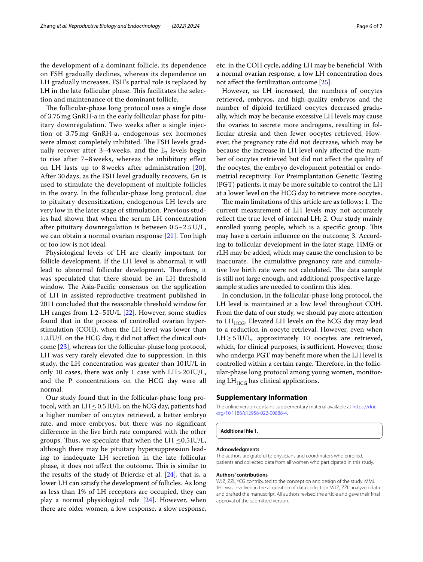the development of a dominant follicle, its dependence on FSH gradually declines, whereas its dependence on LH gradually increases. FSH's partial role is replaced by LH in the late follicular phase. This facilitates the selection and maintenance of the dominant follicle.

The follicular-phase long protocol uses a single dose of 3.75 mg GnRH-a in the early follicular phase for pituitary downregulation. Two weeks after a single injection of 3.75 mg GnRH-a, endogenous sex hormones were almost completely inhibited. The FSH levels gradually recover after 3–4 weeks, and the  $E_2$  levels begin to rise after 7–8 weeks, whereas the inhibitory efect on LH lasts up to 8 weeks after administration [[20\]](#page-6-19). After 30 days, as the FSH level gradually recovers, Gn is used to stimulate the development of multiple follicles in the ovary. In the follicular-phase long protocol, due to pituitary desensitization, endogenous LH levels are very low in the later stage of stimulation. Previous studies had shown that when the serum LH concentration after pituitary downregulation is between 0.5–2.5 U/L, we can obtain a normal ovarian response [[21\]](#page-6-20). Too high or too low is not ideal.

Physiological levels of LH are clearly important for follicle development. If the LH level is abnormal, it will lead to abnormal follicular development. Therefore, it was speculated that there should be an LH threshold window. The Asia-Pacific consensus on the application of LH in assisted reproductive treatment published in 2011 concluded that the reasonable threshold window for LH ranges from 1.2–5 IU/L [[22\]](#page-6-21). However, some studies found that in the process of controlled ovarian hyperstimulation (COH), when the LH level was lower than 1.2IU/L on the HCG day, it did not afect the clinical outcome [\[23](#page-6-22)], whereas for the follicular-phase long protocol, LH was very rarely elevated due to suppression. In this study, the LH concentration was greater than 10IU/L in only 10 cases, there was only 1 case with LH>20IU/L, and the P concentrations on the HCG day were all normal.

Our study found that in the follicular-phase long protocol, with an  $LH \leq 0.5$  IU/L on the hCG day, patients had a higher number of oocytes retrieved, a better embryo rate, and more embryos, but there was no signifcant diference in the live birth rate compared with the other groups. Thus, we speculate that when the LH  $\leq$ 0.5IU/L, although there may be pituitary hypersuppression leading to inadequate LH secretion in the late follicular phase, it does not affect the outcome. This is similar to the results of the study of Brjercke et al.  $[24]$  $[24]$ , that is, a lower LH can satisfy the development of follicles. As long as less than 1% of LH receptors are occupied, they can play a normal physiological role [[24\]](#page-6-23). However, when there are older women, a low response, a slow response,

etc. in the COH cycle, adding LH may be benefcial. With a normal ovarian response, a low LH concentration does not afect the fertilization outcome [\[25](#page-6-24)].

However, as LH increased, the numbers of oocytes retrieved, embryos, and high-quality embryos and the number of diploid fertilized oocytes decreased gradually, which may be because excessive LH levels may cause the ovaries to secrete more androgens, resulting in follicular atresia and then fewer oocytes retrieved. However, the pregnancy rate did not decrease, which may be because the increase in LH level only afected the number of oocytes retrieved but did not afect the quality of the oocytes, the embryo development potential or endometrial receptivity. For Preimplantation Genetic Testing (PGT) patients, it may be more suitable to control the LH at a lower level on the HCG day to retrieve more oocytes.

The main limitations of this article are as follows: 1. The current measurement of LH levels may not accurately refect the true level of internal LH; 2. Our study mainly enrolled young people, which is a specific group. This may have a certain infuence on the outcome; 3. According to follicular development in the later stage, HMG or rLH may be added, which may cause the conclusion to be inaccurate. The cumulative pregnancy rate and cumulative live birth rate were not calculated. The data sample is still not large enough, and additional prospective largesample studies are needed to confrm this idea.

In conclusion, in the follicular-phase long protocol, the LH level is maintained at a low level throughout COH. From the data of our study, we should pay more attention to  $LH<sub>HCG</sub>$ . Elevated LH levels on the hCG day may lead to a reduction in oocyte retrieval. However, even when  $LH \geq 5 \text{I} U/L$ , approximately 10 oocytes are retrieved, which, for clinical purposes, is sufficient. However, those who undergo PGT may beneft more when the LH level is controlled within a certain range. Therefore, in the follicular-phase long protocol among young women, monitoring  $LH<sub>HCG</sub>$  has clinical applications.

### **Supplementary Information**

The online version contains supplementary material available at [https://doi.](https://doi.org/10.1186/s12958-022-00888-4) [org/10.1186/s12958-022-00888-4](https://doi.org/10.1186/s12958-022-00888-4).

**Additional fle 1.**

#### **Acknowledgments**

The authors are grateful to physicians and coordinators who enrolled. patients and collected data from all women who participated in this study.

#### **Authors' contributions**

WJZ, ZZL,YCG contributed to the conception and design of the study. MML JHL was involved in the acquisition of data collection. WJZ, ZZL analyzed data and drafted the manuscript. All authors revised the article and gave their fnal approval of the submitted version.